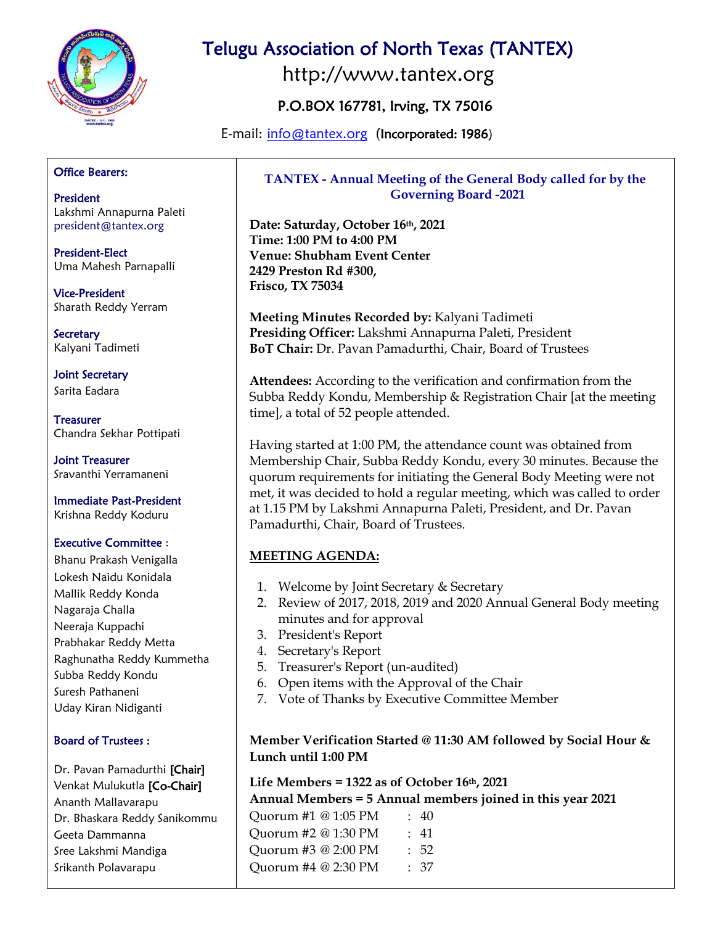

# Telugu Association of North Texas (TANTEX)

http://www.tantex.org

# P.O.BOX 167781, Irving, TX 75016

E-mail: [info@tantex.org](mailto:info@tantex.org) (Incorporated: 1986)

#### Office Bearers:

President Lakshmi Annapurna Paleti president@tantex.org

President-Elect Uma Mahesh Parnapalli

Vice-President Sharath Reddy Yerram

**Secretary** Kalyani Tadimeti

Joint Secretary Sarita Eadara

**Treasurer** Chandra Sekhar Pottipati

Joint Treasurer Sravanthi Yerramaneni

Immediate Past-President Krishna Reddy Koduru

#### Executive Committee :

Bhanu Prakash Venigalla Lokesh Naidu Konidala Mallik Reddy Konda Nagaraja Challa Neeraja Kuppachi Prabhakar Reddy Metta Raghunatha Reddy Kummetha Subba Reddy Kondu Suresh Pathaneni Uday Kiran Nidiganti

#### Board of Trustees :

Dr. Pavan Pamadurthi [Chair] Venkat Mulukutla [Co-Chair] Ananth Mallavarapu Dr. Bhaskara Reddy Sanikommu Geeta Dammanna Sree Lakshmi Mandiga Srikanth Polavarapu

## **TANTEX - Annual Meeting of the General Body called for by the Governing Board -2021**

**Date: Saturday, October 16th, 2021 Time: 1:00 PM to 4:00 PM Venue: Shubham Event Center 2429 Preston Rd #300, Frisco, TX 75034**

**Meeting Minutes Recorded by:** Kalyani Tadimeti **Presiding Officer:** Lakshmi Annapurna Paleti, President **BoT Chair:** Dr. Pavan Pamadurthi, Chair, Board of Trustees

**Attendees:** According to the verification and confirmation from the Subba Reddy Kondu, Membership & Registration Chair [at the meeting time], a total of 52 people attended.

Having started at 1:00 PM, the attendance count was obtained from Membership Chair, Subba Reddy Kondu, every 30 minutes. Because the quorum requirements for initiating the General Body Meeting were not met, it was decided to hold a regular meeting, which was called to order at 1.15 PM by Lakshmi Annapurna Paleti, President, and Dr. Pavan Pamadurthi, Chair, Board of Trustees.

## **MEETING AGENDA:**

- 1. Welcome by Joint Secretary & Secretary
- 2. Review of 2017, 2018, 2019 and 2020 Annual General Body meeting minutes and for approval
- 3. President's Report
- 4. Secretary's Report
- 5. Treasurer's Report (un-audited)
- 6. Open items with the Approval of the Chair
- 7. Vote of Thanks by Executive Committee Member

#### **Member Verification Started @ 11:30 AM followed by Social Hour & Lunch until 1:00 PM**

#### **Life Members = 1322 as of October 16th, 2021**

**Annual Members = 5 Annual members joined in this year 2021**

Quorum #1 @ 1:05 PM : 40 Quorum #2 @ 1:30 PM : 41 Quorum #3 @ 2:00 PM : 52 Quorum #4 @ 2:30 PM : 37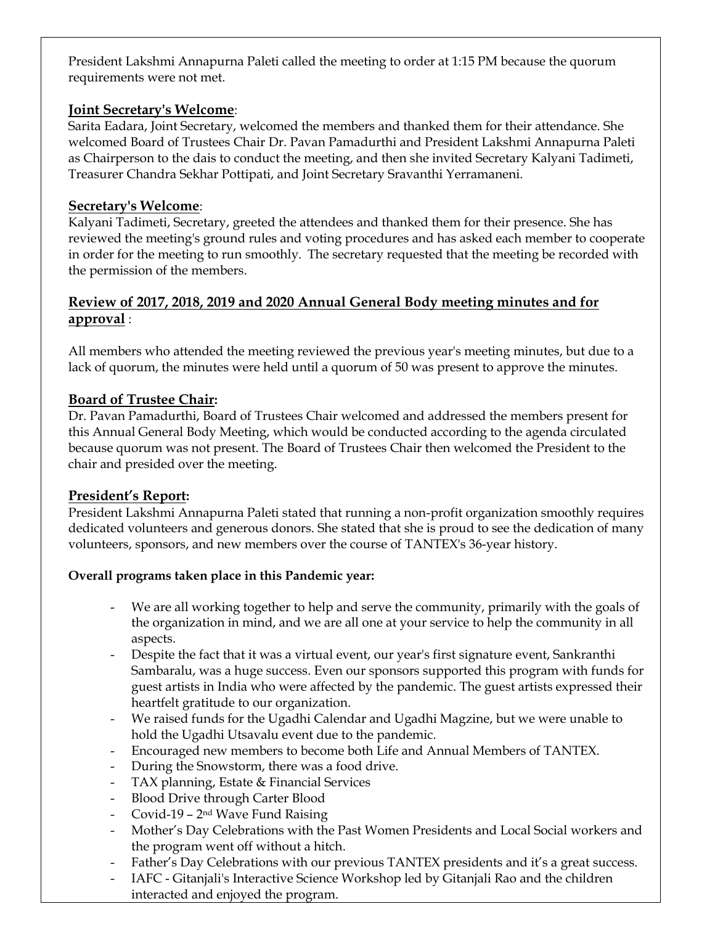President Lakshmi Annapurna Paleti called the meeting to order at 1:15 PM because the quorum requirements were not met.

## **Joint Secretary's Welcome**:

Sarita Eadara, Joint Secretary, welcomed the members and thanked them for their attendance. She welcomed Board of Trustees Chair Dr. Pavan Pamadurthi and President Lakshmi Annapurna Paleti as Chairperson to the dais to conduct the meeting, and then she invited Secretary Kalyani Tadimeti, Treasurer Chandra Sekhar Pottipati, and Joint Secretary Sravanthi Yerramaneni.

## **Secretary's Welcome**:

Kalyani Tadimeti, Secretary, greeted the attendees and thanked them for their presence. She has reviewed the meeting's ground rules and voting procedures and has asked each member to cooperate in order for the meeting to run smoothly. The secretary requested that the meeting be recorded with the permission of the members.

## **Review of 2017, 2018, 2019 and 2020 Annual General Body meeting minutes and for approval** :

All members who attended the meeting reviewed the previous year's meeting minutes, but due to a lack of quorum, the minutes were held until a quorum of 50 was present to approve the minutes.

## **Board of Trustee Chair:**

Dr. Pavan Pamadurthi, Board of Trustees Chair welcomed and addressed the members present for this Annual General Body Meeting, which would be conducted according to the agenda circulated because quorum was not present. The Board of Trustees Chair then welcomed the President to the chair and presided over the meeting.

## **President's Report:**

President Lakshmi Annapurna Paleti stated that running a non-profit organization smoothly requires dedicated volunteers and generous donors. She stated that she is proud to see the dedication of many volunteers, sponsors, and new members over the course of TANTEX's 36-year history.

#### **Overall programs taken place in this Pandemic year:**

- We are all working together to help and serve the community, primarily with the goals of the organization in mind, and we are all one at your service to help the community in all aspects.
- Despite the fact that it was a virtual event, our year's first signature event, Sankranthi Sambaralu, was a huge success. Even our sponsors supported this program with funds for guest artists in India who were affected by the pandemic. The guest artists expressed their heartfelt gratitude to our organization.
- We raised funds for the Ugadhi Calendar and Ugadhi Magzine, but we were unable to hold the Ugadhi Utsavalu event due to the pandemic.
- Encouraged new members to become both Life and Annual Members of TANTEX.
- During the Snowstorm, there was a food drive.
- TAX planning, Estate & Financial Services
- Blood Drive through Carter Blood
- Covid-19  $2<sup>nd</sup>$  Wave Fund Raising
- Mother's Day Celebrations with the Past Women Presidents and Local Social workers and the program went off without a hitch.
- Father's Day Celebrations with our previous TANTEX presidents and it's a great success.
- IAFC Gitanjali's Interactive Science Workshop led by Gitanjali Rao and the children interacted and enjoyed the program.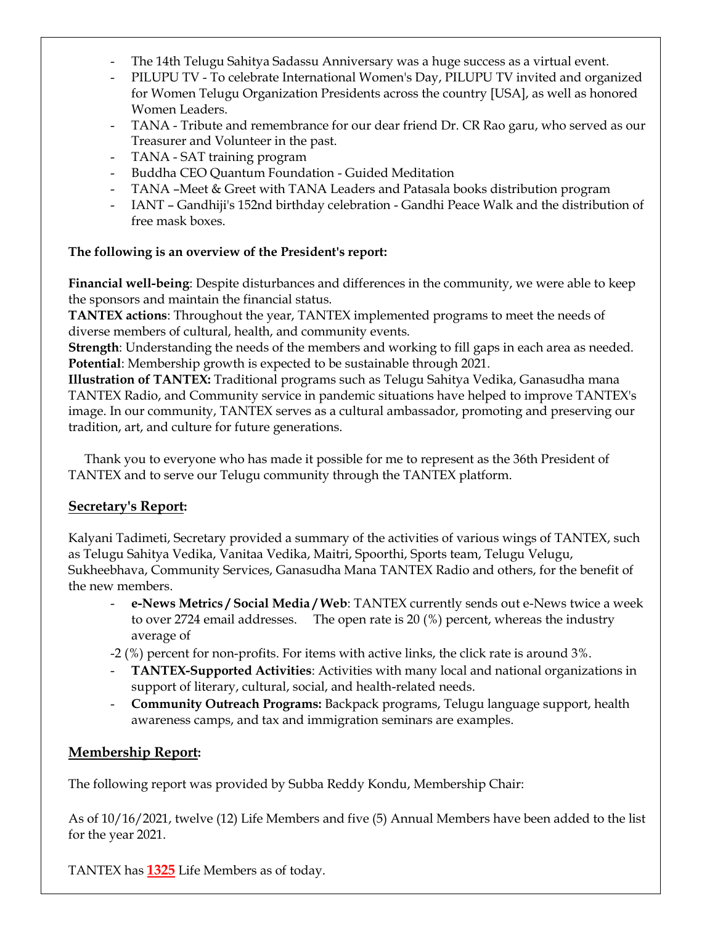- The 14th Telugu Sahitya Sadassu Anniversary was a huge success as a virtual event.
- PILUPU TV To celebrate International Women's Day, PILUPU TV invited and organized for Women Telugu Organization Presidents across the country [USA], as well as honored Women Leaders.
- TANA Tribute and remembrance for our dear friend Dr. CR Rao garu, who served as our Treasurer and Volunteer in the past.
- TANA SAT training program
- Buddha CEO Quantum Foundation Guided Meditation
- TANA –Meet & Greet with TANA Leaders and Patasala books distribution program
- IANT Gandhiji's 152nd birthday celebration Gandhi Peace Walk and the distribution of free mask boxes.

#### **The following is an overview of the President's report:**

**Financial well-being**: Despite disturbances and differences in the community, we were able to keep the sponsors and maintain the financial status.

**TANTEX actions**: Throughout the year, TANTEX implemented programs to meet the needs of diverse members of cultural, health, and community events.

**Strength**: Understanding the needs of the members and working to fill gaps in each area as needed. **Potential**: Membership growth is expected to be sustainable through 2021.

**Illustration of TANTEX:** Traditional programs such as Telugu Sahitya Vedika, Ganasudha mana TANTEX Radio, and Community service in pandemic situations have helped to improve TANTEX's image. In our community, TANTEX serves as a cultural ambassador, promoting and preserving our tradition, art, and culture for future generations.

 Thank you to everyone who has made it possible for me to represent as the 36th President of TANTEX and to serve our Telugu community through the TANTEX platform.

## **Secretary's Report:**

Kalyani Tadimeti, Secretary provided a summary of the activities of various wings of TANTEX, such as Telugu Sahitya Vedika, Vanitaa Vedika, Maitri, Spoorthi, Sports team, Telugu Velugu, Sukheebhava, Community Services, Ganasudha Mana TANTEX Radio and others, for the benefit of the new members.

- **e-News Metrics / Social Media / Web**: TANTEX currently sends out e-News twice a week to over 2724 email addresses. The open rate is 20 (%) percent, whereas the industry average of

-2 (%) percent for non-profits. For items with active links, the click rate is around 3%.

- **TANTEX-Supported Activities**: Activities with many local and national organizations in support of literary, cultural, social, and health-related needs.
- **Community Outreach Programs:** Backpack programs, Telugu language support, health awareness camps, and tax and immigration seminars are examples.

# **Membership Report:**

The following report was provided by Subba Reddy Kondu, Membership Chair:

As of 10/16/2021, twelve (12) Life Members and five (5) Annual Members have been added to the list for the year 2021.

TANTEX has **1325** Life Members as of today.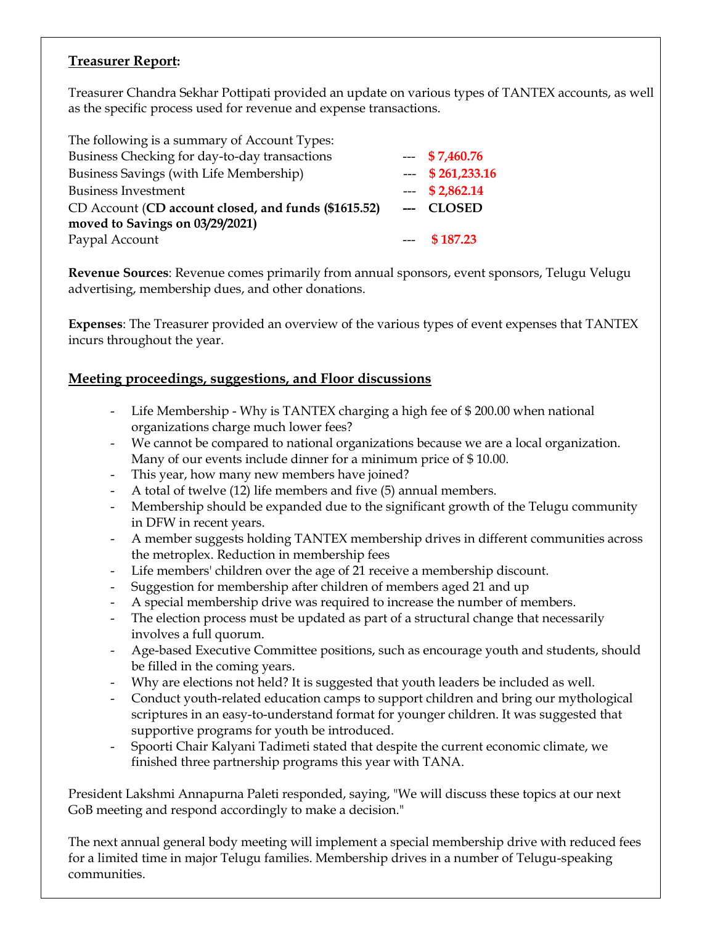## **Treasurer Report:**

Treasurer Chandra Sekhar Pottipati provided an update on various types of TANTEX accounts, as well as the specific process used for revenue and expense transactions.

| The following is a summary of Account Types:         |                   |
|------------------------------------------------------|-------------------|
| Business Checking for day-to-day transactions        | $-57,460.76$      |
| Business Savings (with Life Membership)              | $-$ \$ 261,233.16 |
| <b>Business Investment</b>                           | $-52,862.14$      |
| CD Account (CD account closed, and funds (\$1615.52) | --- CLOSED        |
| moved to Savings on 03/29/2021)                      |                   |
| Paypal Account                                       | $--$ \$187.23     |

**Revenue Sources**: Revenue comes primarily from annual sponsors, event sponsors, Telugu Velugu advertising, membership dues, and other donations.

**Expenses**: The Treasurer provided an overview of the various types of event expenses that TANTEX incurs throughout the year.

## **Meeting proceedings, suggestions, and Floor discussions**

- Life Membership Why is TANTEX charging a high fee of \$ 200.00 when national organizations charge much lower fees?
- We cannot be compared to national organizations because we are a local organization. Many of our events include dinner for a minimum price of \$ 10.00.
- This year, how many new members have joined?
- A total of twelve (12) life members and five (5) annual members.
- Membership should be expanded due to the significant growth of the Telugu community in DFW in recent years.
- A member suggests holding TANTEX membership drives in different communities across the metroplex. Reduction in membership fees
- Life members' children over the age of 21 receive a membership discount.
- Suggestion for membership after children of members aged 21 and up
- A special membership drive was required to increase the number of members.
- The election process must be updated as part of a structural change that necessarily involves a full quorum.
- Age-based Executive Committee positions, such as encourage youth and students, should be filled in the coming years.
- Why are elections not held? It is suggested that youth leaders be included as well.
- Conduct youth-related education camps to support children and bring our mythological scriptures in an easy-to-understand format for younger children. It was suggested that supportive programs for youth be introduced.
- Spoorti Chair Kalyani Tadimeti stated that despite the current economic climate, we finished three partnership programs this year with TANA.

President Lakshmi Annapurna Paleti responded, saying, "We will discuss these topics at our next GoB meeting and respond accordingly to make a decision."

The next annual general body meeting will implement a special membership drive with reduced fees for a limited time in major Telugu families. Membership drives in a number of Telugu-speaking communities.